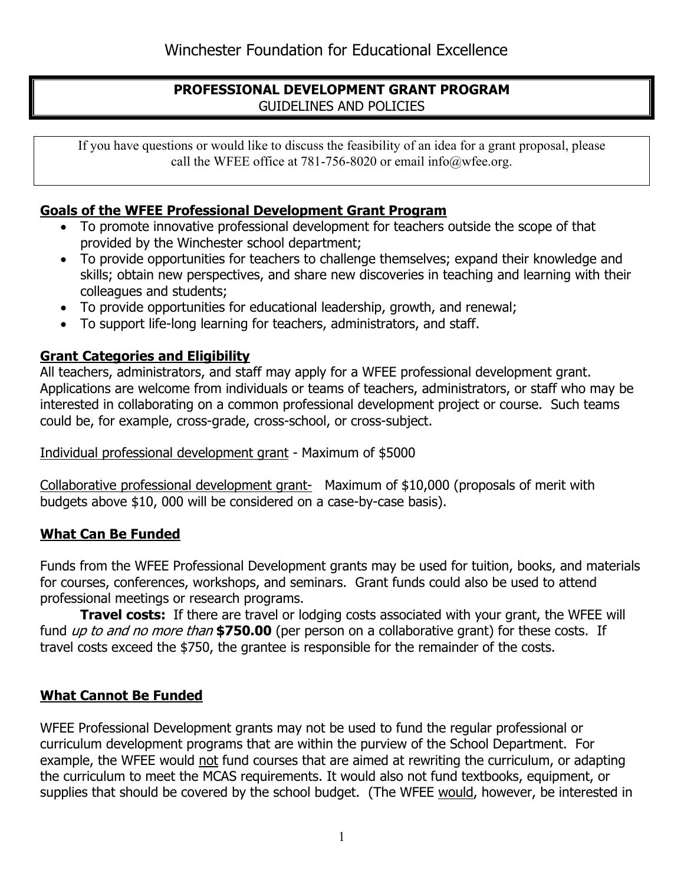### **PROFESSIONAL DEVELOPMENT GRANT PROGRAM**  GUIDELINES AND POLICIES

If you have questions or would like to discuss the feasibility of an idea for a grant proposal, please call the WFEE office at 781-756-8020 or email info@wfee.org.

# **Goals of the WFEE Professional Development Grant Program**

- To promote innovative professional development for teachers outside the scope of that provided by the Winchester school department;
- To provide opportunities for teachers to challenge themselves; expand their knowledge and skills; obtain new perspectives, and share new discoveries in teaching and learning with their colleagues and students;
- To provide opportunities for educational leadership, growth, and renewal;
- To support life-long learning for teachers, administrators, and staff.

### **Grant Categories and Eligibility**

All teachers, administrators, and staff may apply for a WFEE professional development grant. Applications are welcome from individuals or teams of teachers, administrators, or staff who may be interested in collaborating on a common professional development project or course. Such teams could be, for example, cross-grade, cross-school, or cross-subject.

### Individual professional development grant - Maximum of \$5000

Collaborative professional development grant- Maximum of \$10,000 (proposals of merit with budgets above \$10, 000 will be considered on a case-by-case basis).

### **What Can Be Funded**

Funds from the WFEE Professional Development grants may be used for tuition, books, and materials for courses, conferences, workshops, and seminars. Grant funds could also be used to attend professional meetings or research programs.

**Travel costs:** If there are travel or lodging costs associated with your grant, the WFEE will fund up to and no more than **\$750.00** (per person on a collaborative grant) for these costs. If travel costs exceed the \$750, the grantee is responsible for the remainder of the costs.

# **What Cannot Be Funded**

WFEE Professional Development grants may not be used to fund the regular professional or curriculum development programs that are within the purview of the School Department. For example, the WFEE would not fund courses that are aimed at rewriting the curriculum, or adapting the curriculum to meet the MCAS requirements. It would also not fund textbooks, equipment, or supplies that should be covered by the school budget. (The WFEE would, however, be interested in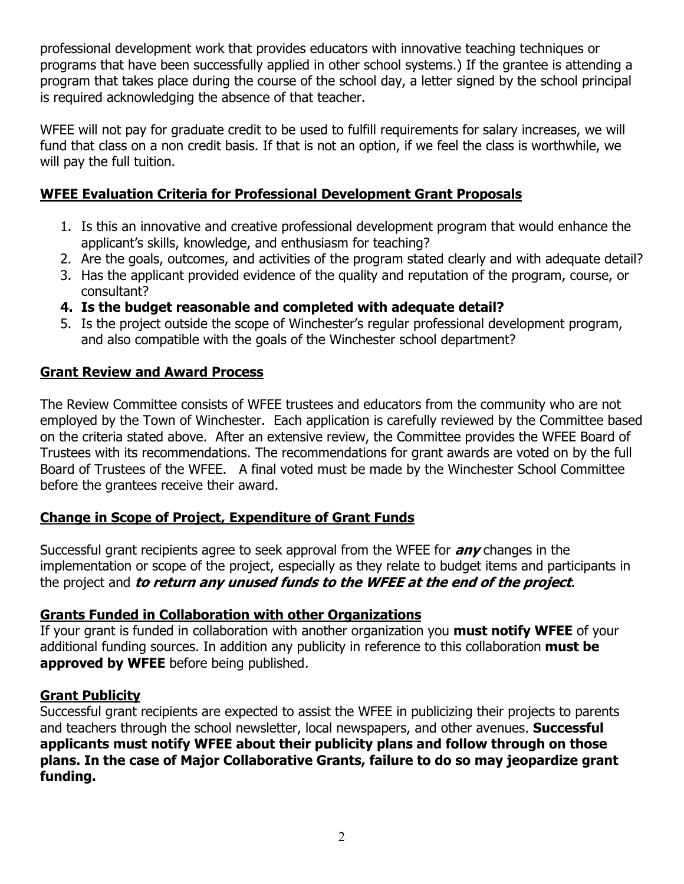professional development work that provides educators with innovative teaching techniques or programs that have been successfully applied in other school systems.) If the grantee is attending a program that takes place during the course of the school day, a letter signed by the school principal is required acknowledging the absence of that teacher.

WFEE will not pay for graduate credit to be used to fulfill requirements for salary increases, we will fund that class on a non credit basis. If that is not an option, if we feel the class is worthwhile, we will pay the full tuition.

### **WFEE Evaluation Criteria for Professional Development Grant Proposals**

- 1. Is this an innovative and creative professional development program that would enhance the applicant's skills, knowledge, and enthusiasm for teaching?
- 2. Are the goals, outcomes, and activities of the program stated clearly and with adequate detail?
- 3. Has the applicant provided evidence of the quality and reputation of the program, course, or consultant?
- **4. Is the budget reasonable and completed with adequate detail?**
- 5. Is the project outside the scope of Winchester's regular professional development program, and also compatible with the goals of the Winchester school department?

### **Grant Review and Award Process**

The Review Committee consists of WFEE trustees and educators from the community who are not employed by the Town of Winchester. Each application is carefully reviewed by the Committee based on the criteria stated above. After an extensive review, the Committee provides the WFEE Board of Trustees with its recommendations. The recommendations for grant awards are voted on by the full Board of Trustees of the WFEE. A final voted must be made by the Winchester School Committee before the grantees receive their award.

### **Change in Scope of Project, Expenditure of Grant Funds**

Successful grant recipients agree to seek approval from the WFEE for **any** changes in the implementation or scope of the project, especially as they relate to budget items and participants in the project and **to return any unused funds to the WFEE at the end of the project**.

### **Grants Funded in Collaboration with other Organizations**

If your grant is funded in collaboration with another organization you **must notify WFEE** of your additional funding sources. In addition any publicity in reference to this collaboration **must be approved by WFEE** before being published.

### **Grant Publicity**

Successful grant recipients are expected to assist the WFEE in publicizing their projects to parents and teachers through the school newsletter, local newspapers, and other avenues. **Successful applicants must notify WFEE about their publicity plans and follow through on those plans. In the case of Major Collaborative Grants, failure to do so may jeopardize grant funding.**